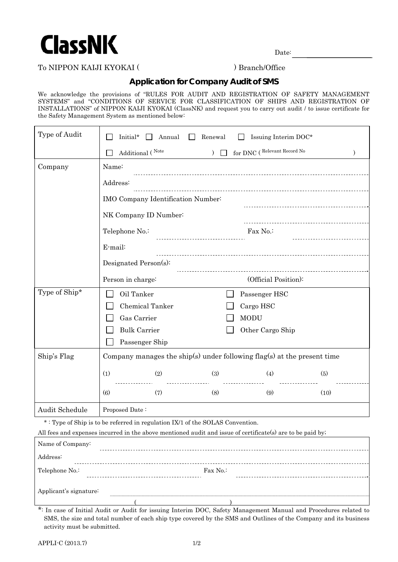

Date:

## To NIPPON KALJI KYOKAI ( ) Branch/Office

## **Application for Company Audit of SMS**

We acknowledge the provisions of "RULES FOR AUDIT AND REGISTRATION OF SAFETY MANAGEMENT SYSTEMS" and "CONDITIONS OF SERVICE FOR CLASSIFICATION OF SHIPS AND REGISTRATION OF INSTALLATIONS" of NIPPON KAIJI KYOKAI (ClassNK) and request you to carry out audit / to issue certificate for the Safety Management System as mentioned below:

| Type of Audit                                                                                              | Initial*<br>Annual<br>Renewal<br>Issuing Interim DOC*                   |  |  |  |  |  |
|------------------------------------------------------------------------------------------------------------|-------------------------------------------------------------------------|--|--|--|--|--|
|                                                                                                            | for DNC (Relevant Record No<br>Additional (Note<br>$\mathcal{L}$        |  |  |  |  |  |
| Company                                                                                                    | Name:                                                                   |  |  |  |  |  |
|                                                                                                            | Address:                                                                |  |  |  |  |  |
|                                                                                                            | IMO Company Identification Number:                                      |  |  |  |  |  |
|                                                                                                            | NK Company ID Number:                                                   |  |  |  |  |  |
|                                                                                                            | Telephone No.:<br>Fax No.:                                              |  |  |  |  |  |
|                                                                                                            | E-mail:                                                                 |  |  |  |  |  |
|                                                                                                            | Designated Person(s):                                                   |  |  |  |  |  |
|                                                                                                            | (Official Position):<br>Person in charge:                               |  |  |  |  |  |
| Type of Ship*                                                                                              | Oil Tanker<br>Passenger HSC                                             |  |  |  |  |  |
|                                                                                                            | Chemical Tanker<br>Cargo HSC                                            |  |  |  |  |  |
|                                                                                                            | Gas Carrier<br><b>MODU</b>                                              |  |  |  |  |  |
|                                                                                                            | <b>Bulk Carrier</b><br>Other Cargo Ship                                 |  |  |  |  |  |
|                                                                                                            | Passenger Ship                                                          |  |  |  |  |  |
| Ship's Flag                                                                                                | Company manages the ship(s) under following flag(s) at the present time |  |  |  |  |  |
|                                                                                                            | (1)<br>(2)<br>(3)<br>(4)<br>(5)                                         |  |  |  |  |  |
|                                                                                                            | (6)<br>(7)<br>(8)<br>(9)<br>(10)                                        |  |  |  |  |  |
| Audit Schedule                                                                                             | Proposed Date:                                                          |  |  |  |  |  |
| *: Type of Ship is to be referred in regulation IX/1 of the SOLAS Convention.                              |                                                                         |  |  |  |  |  |
| All fees and expenses incurred in the above mentioned audit and issue of certificate(s) are to be paid by; |                                                                         |  |  |  |  |  |

| Name of Company:       |          |  |
|------------------------|----------|--|
| Address:               |          |  |
| Telephone No.:         | Fax No.: |  |
| Applicant's signature: |          |  |

\*: In case of Initial Audit or Audit for issuing Interim DOC, Safety Management Manual and Procedures related to SMS, the size and total number of each ship type covered by the SMS and Outlines of the Company and its business activity must be submitted.